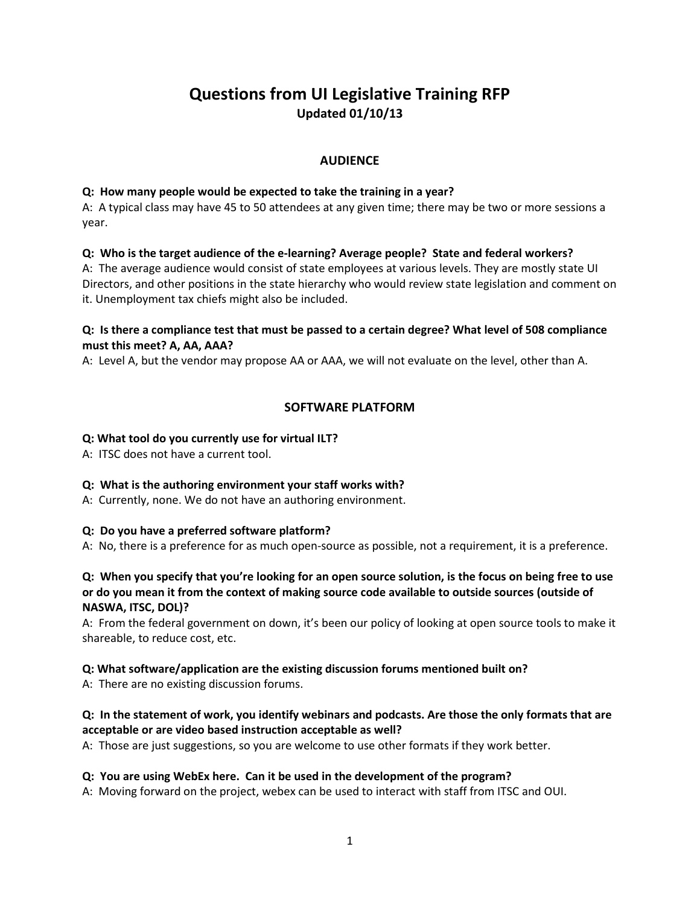# **Questions from UI Legislative Training RFP Updated 01/10/13**

## **AUDIENCE**

#### **Q: How many people would be expected to take the training in a year?**

A: A typical class may have 45 to 50 attendees at any given time; there may be two or more sessions a year.

## **Q: Who is the target audience of the e-learning? Average people? State and federal workers?**

A: The average audience would consist of state employees at various levels. They are mostly state UI Directors, and other positions in the state hierarchy who would review state legislation and comment on it. Unemployment tax chiefs might also be included.

## **Q: Is there a compliance test that must be passed to a certain degree? What level of 508 compliance must this meet? A, AA, AAA?**

A: Level A, but the vendor may propose AA or AAA, we will not evaluate on the level, other than A.

## **SOFTWARE PLATFORM**

## **Q: What tool do you currently use for virtual ILT?**

A: ITSC does not have a current tool.

## **Q: What is the authoring environment your staff works with?**

A: Currently, none. We do not have an authoring environment.

## **Q: Do you have a preferred software platform?**

A: No, there is a preference for as much open-source as possible, not a requirement, it is a preference.

#### **Q: When you specify that you're looking for an open source solution, is the focus on being free to use or do you mean it from the context of making source code available to outside sources (outside of NASWA, ITSC, DOL)?**

A: From the federal government on down, it's been our policy of looking at open source tools to make it shareable, to reduce cost, etc.

## **Q: What software/application are the existing discussion forums mentioned built on?**

A: There are no existing discussion forums.

## **Q: In the statement of work, you identify webinars and podcasts. Are those the only formats that are acceptable or are video based instruction acceptable as well?**

A: Those are just suggestions, so you are welcome to use other formats if they work better.

#### **Q: You are using WebEx here. Can it be used in the development of the program?**

A: Moving forward on the project, webex can be used to interact with staff from ITSC and OUI.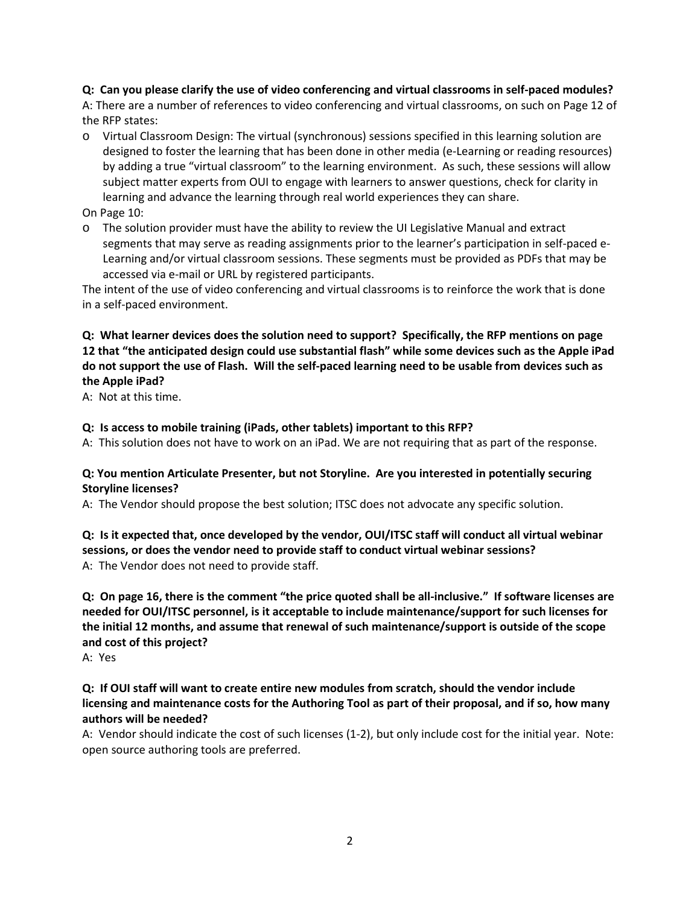**Q: Can you please clarify the use of video conferencing and virtual classrooms in self-paced modules?**

A: There are a number of references to video conferencing and virtual classrooms, on such on Page 12 of the RFP states:

- o Virtual Classroom Design: The virtual (synchronous) sessions specified in this learning solution are designed to foster the learning that has been done in other media (e-Learning or reading resources) by adding a true "virtual classroom" to the learning environment. As such, these sessions will allow subject matter experts from OUI to engage with learners to answer questions, check for clarity in learning and advance the learning through real world experiences they can share.
- On Page 10:
- o The solution provider must have the ability to review the UI Legislative Manual and extract segments that may serve as reading assignments prior to the learner's participation in self-paced e-Learning and/or virtual classroom sessions. These segments must be provided as PDFs that may be accessed via e-mail or URL by registered participants.

The intent of the use of video conferencing and virtual classrooms is to reinforce the work that is done in a self-paced environment.

## **Q: What learner devices does the solution need to support? Specifically, the RFP mentions on page 12 that "the anticipated design could use substantial flash" while some devices such as the Apple iPad do not support the use of Flash. Will the self-paced learning need to be usable from devices such as the Apple iPad?**

A: Not at this time.

## **Q: Is access to mobile training (iPads, other tablets) important to this RFP?**

A: This solution does not have to work on an iPad. We are not requiring that as part of the response.

#### **Q: You mention Articulate Presenter, but not Storyline. Are you interested in potentially securing Storyline licenses?**

A: The Vendor should propose the best solution; ITSC does not advocate any specific solution.

## **Q: Is it expected that, once developed by the vendor, OUI/ITSC staff will conduct all virtual webinar sessions, or does the vendor need to provide staff to conduct virtual webinar sessions?** A: The Vendor does not need to provide staff.

**Q: On page 16, there is the comment "the price quoted shall be all-inclusive." If software licenses are needed for OUI/ITSC personnel, is it acceptable to include maintenance/support for such licenses for the initial 12 months, and assume that renewal of such maintenance/support is outside of the scope and cost of this project?**

A: Yes

## **Q: If OUI staff will want to create entire new modules from scratch, should the vendor include licensing and maintenance costs for the Authoring Tool as part of their proposal, and if so, how many authors will be needed?**

A: Vendor should indicate the cost of such licenses (1-2), but only include cost for the initial year. Note: open source authoring tools are preferred.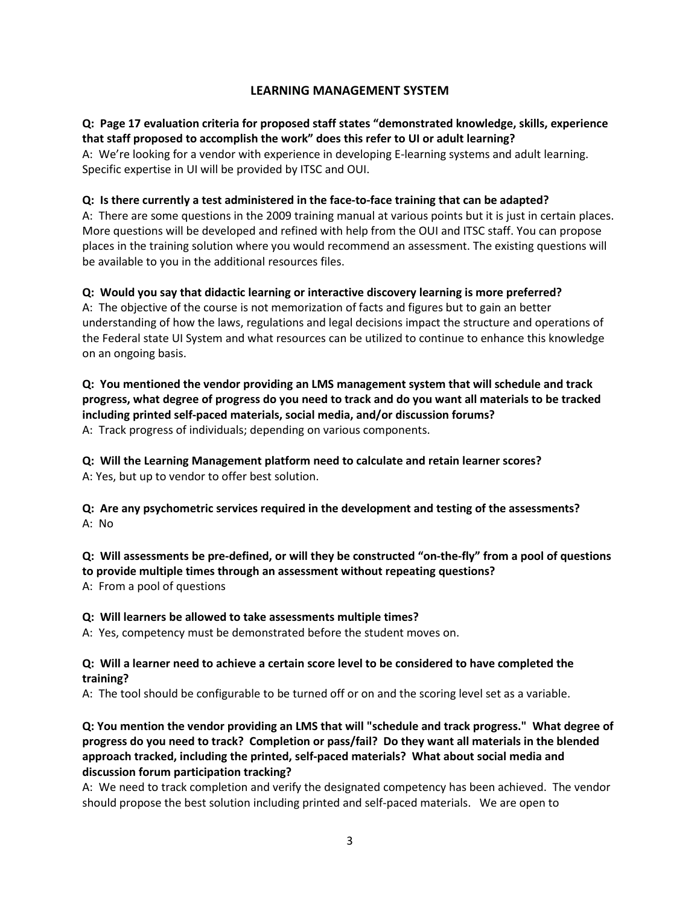## **LEARNING MANAGEMENT SYSTEM**

## **Q: Page 17 evaluation criteria for proposed staff states "demonstrated knowledge, skills, experience that staff proposed to accomplish the work" does this refer to UI or adult learning?**

A: We're looking for a vendor with experience in developing E-learning systems and adult learning. Specific expertise in UI will be provided by ITSC and OUI.

#### **Q: Is there currently a test administered in the face-to-face training that can be adapted?**

A: There are some questions in the 2009 training manual at various points but it is just in certain places. More questions will be developed and refined with help from the OUI and ITSC staff. You can propose places in the training solution where you would recommend an assessment. The existing questions will be available to you in the additional resources files.

## **Q: Would you say that didactic learning or interactive discovery learning is more preferred?**

A: The objective of the course is not memorization of facts and figures but to gain an better understanding of how the laws, regulations and legal decisions impact the structure and operations of the Federal state UI System and what resources can be utilized to continue to enhance this knowledge on an ongoing basis.

## **Q: You mentioned the vendor providing an LMS management system that will schedule and track progress, what degree of progress do you need to track and do you want all materials to be tracked including printed self-paced materials, social media, and/or discussion forums?**

A: Track progress of individuals; depending on various components.

**Q: Will the Learning Management platform need to calculate and retain learner scores?**  A: Yes, but up to vendor to offer best solution.

**Q: Are any psychometric services required in the development and testing of the assessments?** A: No

**Q: Will assessments be pre-defined, or will they be constructed "on-the-fly" from a pool of questions to provide multiple times through an assessment without repeating questions?**

A: From a pool of questions

#### **Q: Will learners be allowed to take assessments multiple times?**

A: Yes, competency must be demonstrated before the student moves on.

## **Q: Will a learner need to achieve a certain score level to be considered to have completed the training?**

A: The tool should be configurable to be turned off or on and the scoring level set as a variable.

## **Q: You mention the vendor providing an LMS that will "schedule and track progress." What degree of progress do you need to track? Completion or pass/fail? Do they want all materials in the blended approach tracked, including the printed, self-paced materials? What about social media and discussion forum participation tracking?**

A: We need to track completion and verify the designated competency has been achieved. The vendor should propose the best solution including printed and self-paced materials. We are open to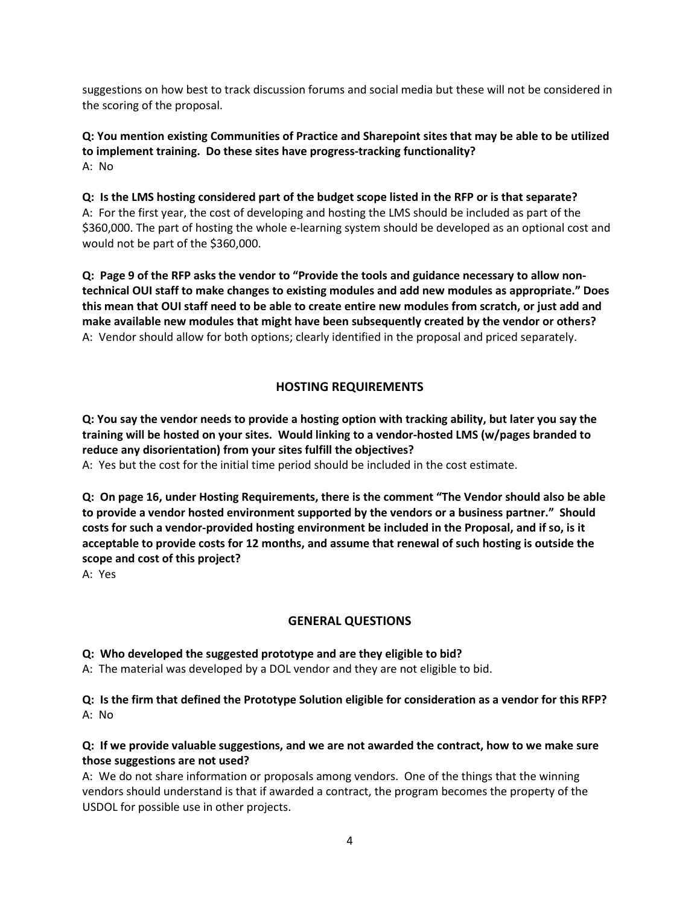suggestions on how best to track discussion forums and social media but these will not be considered in the scoring of the proposal.

**Q: You mention existing Communities of Practice and Sharepoint sites that may be able to be utilized to implement training. Do these sites have progress-tracking functionality?** A: No

**Q: Is the LMS hosting considered part of the budget scope listed in the RFP or is that separate?** A: For the first year, the cost of developing and hosting the LMS should be included as part of the \$360,000. The part of hosting the whole e-learning system should be developed as an optional cost and would not be part of the \$360,000.

**Q: Page 9 of the RFP asks the vendor to "Provide the tools and guidance necessary to allow nontechnical OUI staff to make changes to existing modules and add new modules as appropriate." Does this mean that OUI staff need to be able to create entire new modules from scratch, or just add and make available new modules that might have been subsequently created by the vendor or others?**  A: Vendor should allow for both options; clearly identified in the proposal and priced separately.

## **HOSTING REQUIREMENTS**

**Q: You say the vendor needs to provide a hosting option with tracking ability, but later you say the training will be hosted on your sites. Would linking to a vendor-hosted LMS (w/pages branded to reduce any disorientation) from your sites fulfill the objectives?**

A: Yes but the cost for the initial time period should be included in the cost estimate.

**Q: On page 16, under Hosting Requirements, there is the comment "The Vendor should also be able to provide a vendor hosted environment supported by the vendors or a business partner." Should costs for such a vendor-provided hosting environment be included in the Proposal, and if so, is it acceptable to provide costs for 12 months, and assume that renewal of such hosting is outside the scope and cost of this project?**

A: Yes

## **GENERAL QUESTIONS**

#### **Q: Who developed the suggested prototype and are they eligible to bid?**

A: The material was developed by a DOL vendor and they are not eligible to bid.

**Q: Is the firm that defined the Prototype Solution eligible for consideration as a vendor for this RFP?** A: No

## **Q: If we provide valuable suggestions, and we are not awarded the contract, how to we make sure those suggestions are not used?**

A: We do not share information or proposals among vendors. One of the things that the winning vendors should understand is that if awarded a contract, the program becomes the property of the USDOL for possible use in other projects.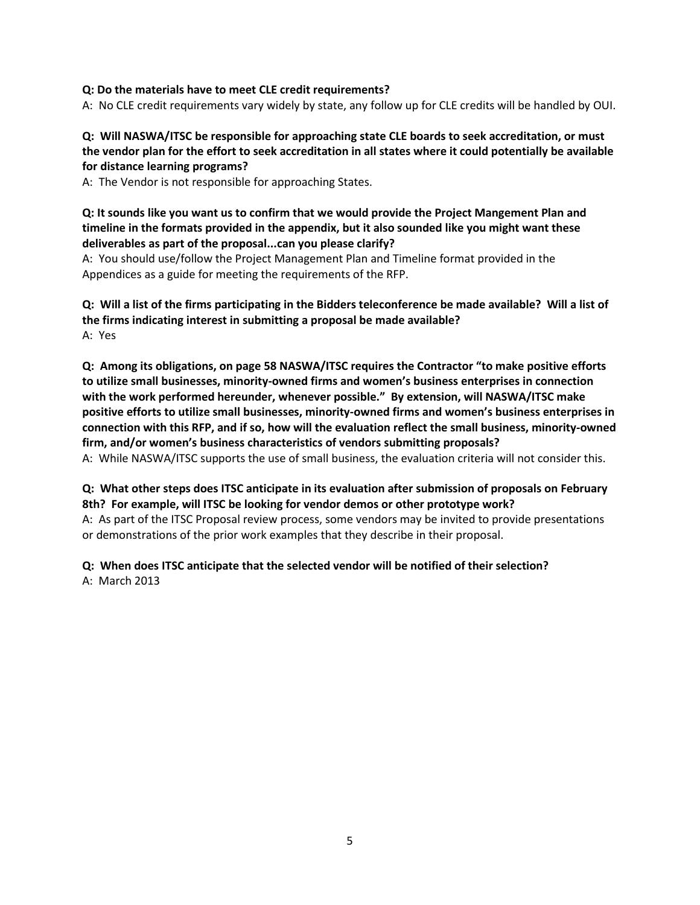#### **Q: Do the materials have to meet CLE credit requirements?**

A: No CLE credit requirements vary widely by state, any follow up for CLE credits will be handled by OUI.

## **Q: Will NASWA/ITSC be responsible for approaching state CLE boards to seek accreditation, or must the vendor plan for the effort to seek accreditation in all states where it could potentially be available for distance learning programs?**

A: The Vendor is not responsible for approaching States.

#### **Q: It sounds like you want us to confirm that we would provide the Project Mangement Plan and timeline in the formats provided in the appendix, but it also sounded like you might want these deliverables as part of the proposal...can you please clarify?**

A: You should use/follow the Project Management Plan and Timeline format provided in the Appendices as a guide for meeting the requirements of the RFP.

## **Q: Will a list of the firms participating in the Bidders teleconference be made available? Will a list of the firms indicating interest in submitting a proposal be made available?** A: Yes

**Q: Among its obligations, on page 58 NASWA/ITSC requires the Contractor "to make positive efforts to utilize small businesses, minority-owned firms and women's business enterprises in connection with the work performed hereunder, whenever possible." By extension, will NASWA/ITSC make positive efforts to utilize small businesses, minority-owned firms and women's business enterprises in connection with this RFP, and if so, how will the evaluation reflect the small business, minority-owned firm, and/or women's business characteristics of vendors submitting proposals?** A: While NASWA/ITSC supports the use of small business, the evaluation criteria will not consider this.

#### **Q: What other steps does ITSC anticipate in its evaluation after submission of proposals on February 8th? For example, will ITSC be looking for vendor demos or other prototype work?**

A: As part of the ITSC Proposal review process, some vendors may be invited to provide presentations or demonstrations of the prior work examples that they describe in their proposal.

## **Q: When does ITSC anticipate that the selected vendor will be notified of their selection?** A: March 2013